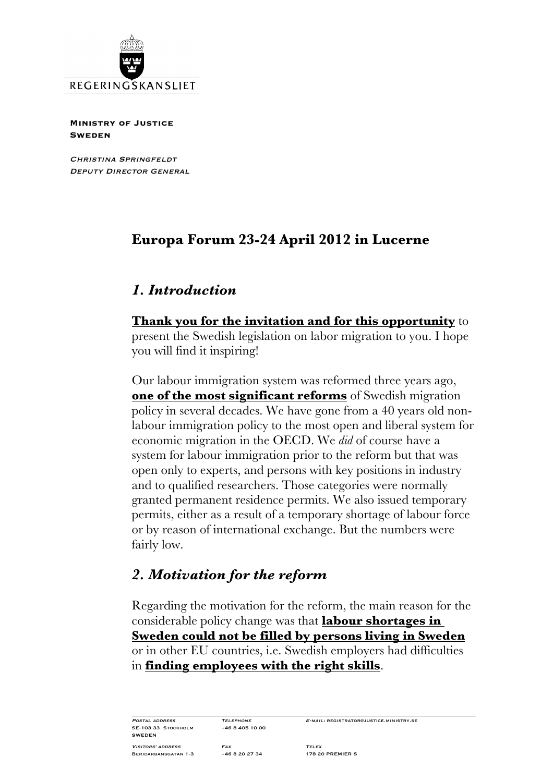

**Ministry of Justice Sweden**

Christina Springfeldt DEPUTY DIRECTOR GENERAL

# **Europa Forum 23-24 April 2012 in Lucerne**

## *1. Introduction*

**Thank you for the invitation and for this opportunity** to present the Swedish legislation on labor migration to you. I hope you will find it inspiring!

Our labour immigration system was reformed three years ago, **one of the most significant reforms** of Swedish migration policy in several decades. We have gone from a 40 years old nonlabour immigration policy to the most open and liberal system for economic migration in the OECD. We *did* of course have a system for labour immigration prior to the reform but that was open only to experts, and persons with key positions in industry and to qualified researchers. Those categories were normally granted permanent residence permits. We also issued temporary permits, either as a result of a temporary shortage of labour force or by reason of international exchange. But the numbers were fairly low.

# *2. Motivation for the reform*

Regarding the motivation for the reform, the main reason for the considerable policy change was that **labour shortages in Sweden could not be filled by persons living in Sweden** or in other EU countries, i.e. Swedish employers had difficulties in **finding employees with the right skills**.

SE-103 33 STOCKHOLM SWEDEN

POSTAL ADDRESS TELEPHONE E-MAIL: REGISTRATOR@JUSTICE.MINISTRY.SE<br>SE-103 33 STOCKHOLM +46 8 405 10 00

Visitors' address Fax Telex Beridarbansgatan 1-3 +46 8 20 27 34 178 20 PREMIER S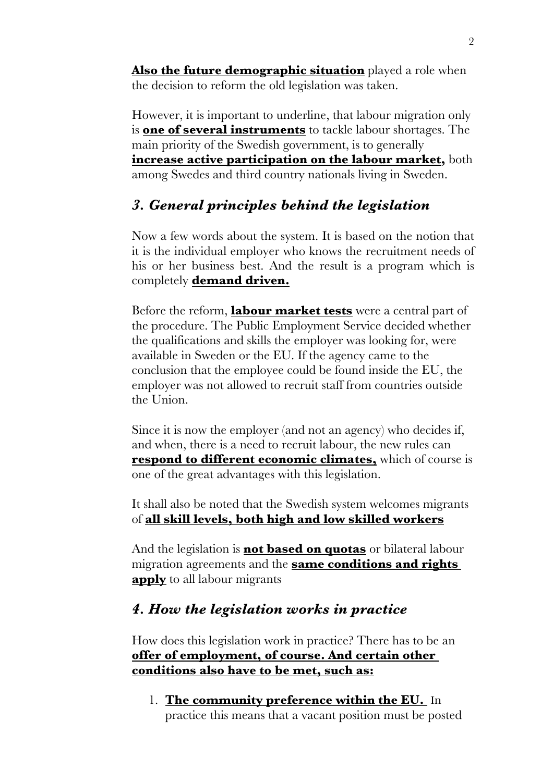**Also the future demographic situation** played a role when the decision to reform the old legislation was taken.

However, it is important to underline, that labour migration only is **one of several instruments** to tackle labour shortages. The main priority of the Swedish government, is to generally **increase active participation on the labour market,** both among Swedes and third country nationals living in Sweden.

# *3. General principles behind the legislation*

Now a few words about the system. It is based on the notion that it is the individual employer who knows the recruitment needs of his or her business best. And the result is a program which is completely **demand driven.**

Before the reform, **labour market tests** were a central part of the procedure. The Public Employment Service decided whether the qualifications and skills the employer was looking for, were available in Sweden or the EU. If the agency came to the conclusion that the employee could be found inside the EU, the employer was not allowed to recruit staff from countries outside the Union.

Since it is now the employer (and not an agency) who decides if, and when, there is a need to recruit labour, the new rules can **respond to different economic climates,** which of course is one of the great advantages with this legislation.

It shall also be noted that the Swedish system welcomes migrants of **all skill levels, both high and low skilled workers**

And the legislation is **not based on quotas** or bilateral labour migration agreements and the **same conditions and rights apply** to all labour migrants

# *4. How the legislation works in practice*

How does this legislation work in practice? There has to be an **offer of employment, of course. And certain other conditions also have to be met, such as:**

1. **The community preference within the EU.** In practice this means that a vacant position must be posted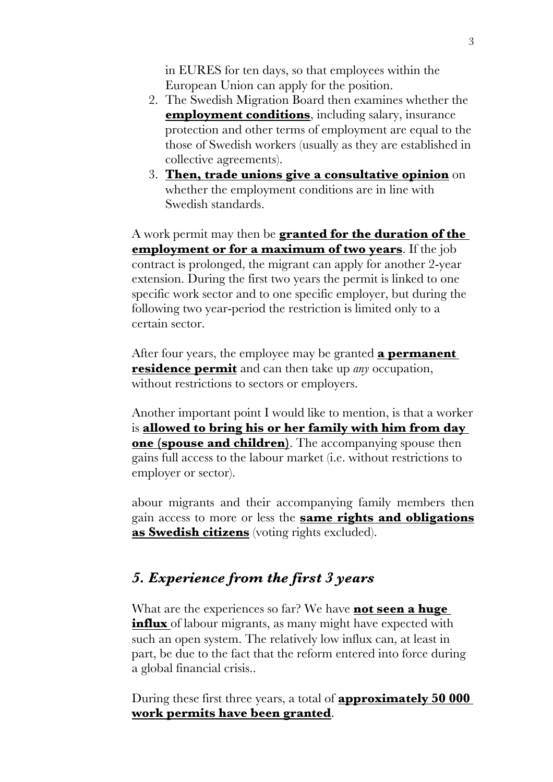in EURES for ten days, so that employees within the European Union can apply for the position.

- 2. The Swedish Migration Board then examines whether the **employment conditions**, including salary, insurance protection and other terms of employment are equal to the those of Swedish workers (usually as they are established in collective agreements).
- 3. **Then, trade unions give a consultative opinion** on whether the employment conditions are in line with Swedish standards.

A work permit may then be **granted for the duration of the employment or for a maximum of two years**. If the job contract is prolonged, the migrant can apply for another 2-year extension. During the first two years the permit is linked to one specific work sector and to one specific employer, but during the following two year-period the restriction is limited only to a certain sector.

After four years, the employee may be granted **a permanent residence permit** and can then take up *any* occupation, without restrictions to sectors or employers.

Another important point I would like to mention, is that a worker is **allowed to bring his or her family with him from day one (spouse and children)**. The accompanying spouse then gains full access to the labour market (i.e. without restrictions to employer or sector).

abour migrants and their accompanying family members then gain access to more or less the **same rights and obligations as Swedish citizens** (voting rights excluded).

# *5. Experience from the first 3 years*

What are the experiences so far? We have **not seen a huge influx** of labour migrants, as many might have expected with such an open system. The relatively low influx can, at least in part, be due to the fact that the reform entered into force during a global financial crisis..

During these first three years, a total of **approximately 50 000 work permits have been granted**.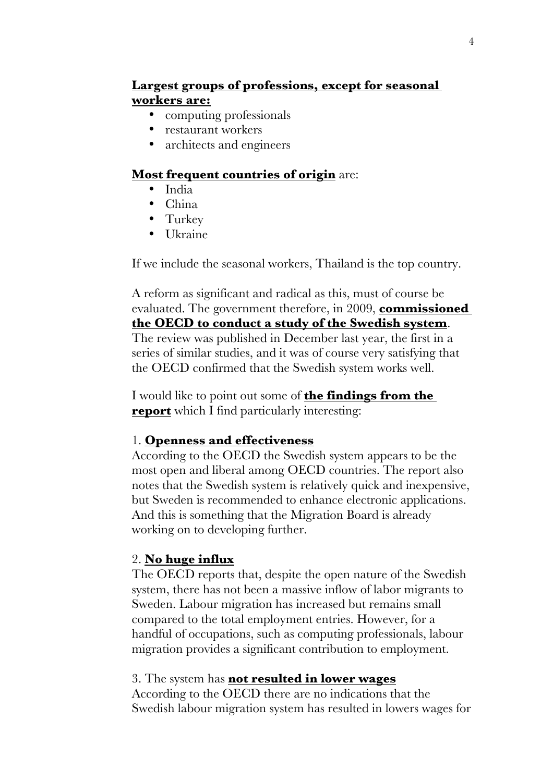## **Largest groups of professions, except for seasonal workers are:**

- computing professionals
- restaurant workers
- architects and engineers

#### **Most frequent countries of origin** are:

- India
- China
- Turkey
- Ukraine

If we include the seasonal workers, Thailand is the top country.

A reform as significant and radical as this, must of course be evaluated. The government therefore, in 2009, **commissioned the OECD to conduct a study of the Swedish system**. The review was published in December last year, the first in a series of similar studies, and it was of course very satisfying that the OECD confirmed that the Swedish system works well.

I would like to point out some of **the findings from the report** which I find particularly interesting:

### 1. **Openness and effectiveness**

According to the OECD the Swedish system appears to be the most open and liberal among OECD countries. The report also notes that the Swedish system is relatively quick and inexpensive, but Sweden is recommended to enhance electronic applications. And this is something that the Migration Board is already working on to developing further.

### 2. **No huge influx**

The OECD reports that, despite the open nature of the Swedish system, there has not been a massive inflow of labor migrants to Sweden. Labour migration has increased but remains small compared to the total employment entries. However, for a handful of occupations, such as computing professionals, labour migration provides a significant contribution to employment.

#### 3. The system has **not resulted in lower wages**

According to the OECD there are no indications that the Swedish labour migration system has resulted in lowers wages for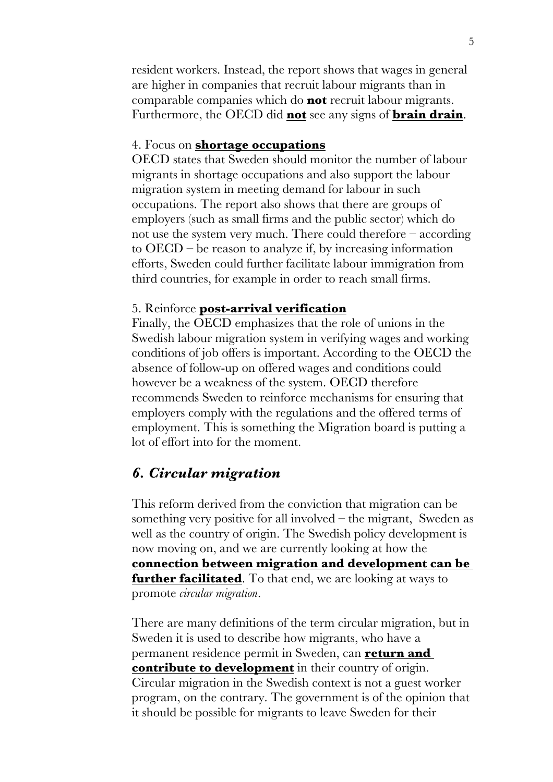resident workers. Instead, the report shows that wages in general are higher in companies that recruit labour migrants than in comparable companies which do **not** recruit labour migrants. Furthermore, the OECD did **not** see any signs of **brain drain**.

#### 4. Focus on **shortage occupations**

OECD states that Sweden should monitor the number of labour migrants in shortage occupations and also support the labour migration system in meeting demand for labour in such occupations. The report also shows that there are groups of employers (such as small firms and the public sector) which do not use the system very much. There could therefore – according to OECD – be reason to analyze if, by increasing information efforts, Sweden could further facilitate labour immigration from third countries, for example in order to reach small firms.

#### 5. Reinforce **post-arrival verification**

Finally, the OECD emphasizes that the role of unions in the Swedish labour migration system in verifying wages and working conditions of job offers is important. According to the OECD the absence of follow-up on offered wages and conditions could however be a weakness of the system. OECD therefore recommends Sweden to reinforce mechanisms for ensuring that employers comply with the regulations and the offered terms of employment. This is something the Migration board is putting a lot of effort into for the moment.

### *6. Circular migration*

This reform derived from the conviction that migration can be something very positive for all involved  $-$  the migrant, Sweden as well as the country of origin. The Swedish policy development is now moving on, and we are currently looking at how the **connection between migration and development can be further facilitated**. To that end, we are looking at ways to promote *circular migration*.

There are many definitions of the term circular migration, but in Sweden it is used to describe how migrants, who have a permanent residence permit in Sweden, can **return and contribute to development** in their country of origin. Circular migration in the Swedish context is not a guest worker program, on the contrary. The government is of the opinion that it should be possible for migrants to leave Sweden for their